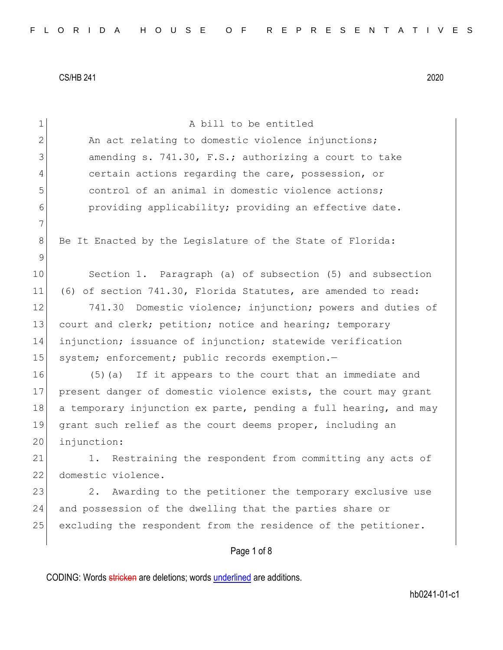| $\mathbf 1$ | A bill to be entitled                                            |
|-------------|------------------------------------------------------------------|
| 2           | An act relating to domestic violence injunctions;                |
| 3           | amending s. 741.30, F.S.; authorizing a court to take            |
| 4           | certain actions regarding the care, possession, or               |
| 5           | control of an animal in domestic violence actions;               |
| 6           | providing applicability; providing an effective date.            |
| 7           |                                                                  |
| 8           | Be It Enacted by the Legislature of the State of Florida:        |
| $\mathsf 9$ |                                                                  |
| 10          | Section 1. Paragraph (a) of subsection (5) and subsection        |
| 11          | (6) of section 741.30, Florida Statutes, are amended to read:    |
| 12          | 741.30<br>Domestic violence; injunction; powers and duties of    |
| 13          | court and clerk; petition; notice and hearing; temporary         |
| 14          | injunction; issuance of injunction; statewide verification       |
| 15          | system; enforcement; public records exemption.-                  |
| 16          | (5) (a) If it appears to the court that an immediate and         |
| 17          | present danger of domestic violence exists, the court may grant  |
| 18          | a temporary injunction ex parte, pending a full hearing, and may |
| 19          | grant such relief as the court deems proper, including an        |
| 20          | injunction:                                                      |
| 21          | 1. Restraining the respondent from committing any acts of        |
| 22          | domestic violence.                                               |
| 23          | Awarding to the petitioner the temporary exclusive use<br>2.     |
| 24          | and possession of the dwelling that the parties share or         |
| 25          | excluding the respondent from the residence of the petitioner.   |
|             | Page 1 of 8                                                      |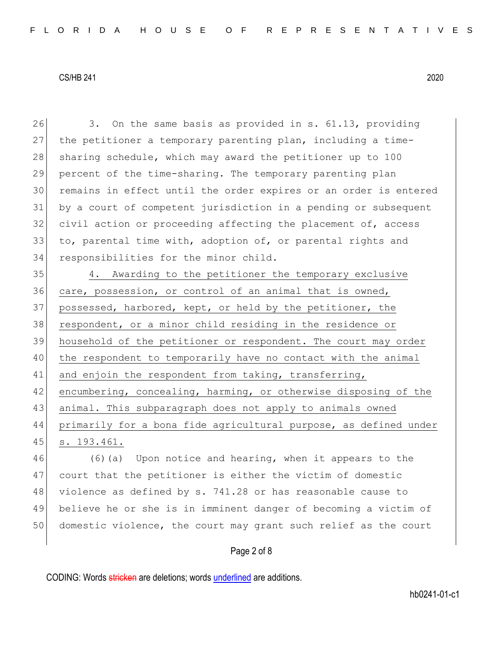26 3. On the same basis as provided in s. 61.13, providing 27 the petitioner a temporary parenting plan, including a time-28 sharing schedule, which may award the petitioner up to 100 29 percent of the time-sharing. The temporary parenting plan 30 remains in effect until the order expires or an order is entered 31 by a court of competent jurisdiction in a pending or subsequent 32 civil action or proceeding affecting the placement of, access 33 to, parental time with, adoption of, or parental rights and 34 responsibilities for the minor child.

 4. Awarding to the petitioner the temporary exclusive care, possession, or control of an animal that is owned, 37 possessed, harbored, kept, or held by the petitioner, the respondent, or a minor child residing in the residence or household of the petitioner or respondent. The court may order the respondent to temporarily have no contact with the animal 41 and enjoin the respondent from taking, transferring, encumbering, concealing, harming, or otherwise disposing of the animal. This subparagraph does not apply to animals owned primarily for a bona fide agricultural purpose, as defined under s. 193.461.

 (6)(a) Upon notice and hearing, when it appears to the court that the petitioner is either the victim of domestic 48 violence as defined by s. 741.28 or has reasonable cause to believe he or she is in imminent danger of becoming a victim of domestic violence, the court may grant such relief as the court

## Page 2 of 8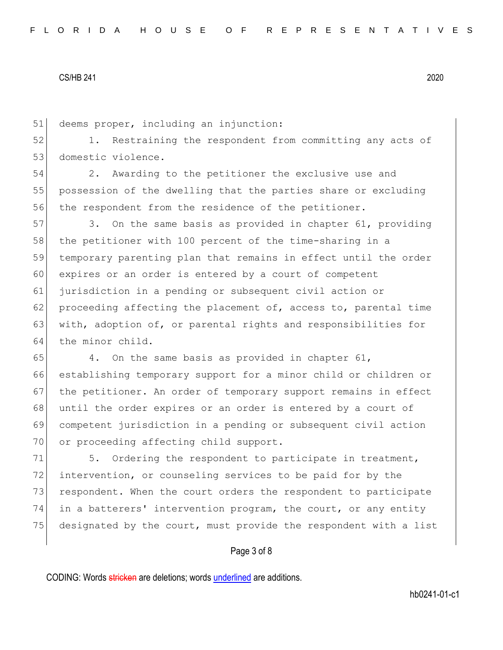51 deems proper, including an injunction:

52 1. Restraining the respondent from committing any acts of 53 domestic violence.

54 2. Awarding to the petitioner the exclusive use and 55 possession of the dwelling that the parties share or excluding 56 the respondent from the residence of the petitioner.

57 3. On the same basis as provided in chapter 61, providing 58 the petitioner with 100 percent of the time-sharing in a 59 temporary parenting plan that remains in effect until the order 60 expires or an order is entered by a court of competent 61 jurisdiction in a pending or subsequent civil action or 62 proceeding affecting the placement of, access to, parental time 63 with, adoption of, or parental rights and responsibilities for 64 the minor child.

 $65$  4. On the same basis as provided in chapter 61, 66 establishing temporary support for a minor child or children or 67 the petitioner. An order of temporary support remains in effect 68 until the order expires or an order is entered by a court of 69 competent jurisdiction in a pending or subsequent civil action 70 or proceeding affecting child support.

71 5. Ordering the respondent to participate in treatment, 72 intervention, or counseling services to be paid for by the 73 respondent. When the court orders the respondent to participate 74 in a batterers' intervention program, the court, or any entity 75 designated by the court, must provide the respondent with a list

## Page 3 of 8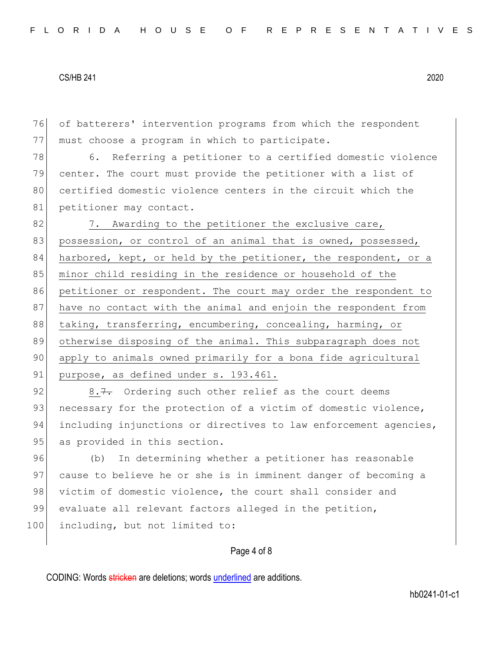76 of batterers' intervention programs from which the respondent 77 | must choose a program in which to participate.

78 6. Referring a petitioner to a certified domestic violence 79 center. The court must provide the petitioner with a list of 80 certified domestic violence centers in the circuit which the 81 petitioner may contact.

82 7. Awarding to the petitioner the exclusive care, 83 possession, or control of an animal that is owned, possessed, 84 harbored, kept, or held by the petitioner, the respondent, or a 85 minor child residing in the residence or household of the 86 petitioner or respondent. The court may order the respondent to 87 have no contact with the animal and enjoin the respondent from 88 taking, transferring, encumbering, concealing, harming, or 89 otherwise disposing of the animal. This subparagraph does not 90 apply to animals owned primarily for a bona fide agricultural 91 purpose, as defined under s. 193.461.

92 8.7. Ordering such other relief as the court deems 93 necessary for the protection of a victim of domestic violence, 94 including injunctions or directives to law enforcement agencies, 95 as provided in this section.

96 (b) In determining whether a petitioner has reasonable 97 cause to believe he or she is in imminent danger of becoming a 98 victim of domestic violence, the court shall consider and 99 evaluate all relevant factors alleged in the petition, 100 including, but not limited to:

## Page 4 of 8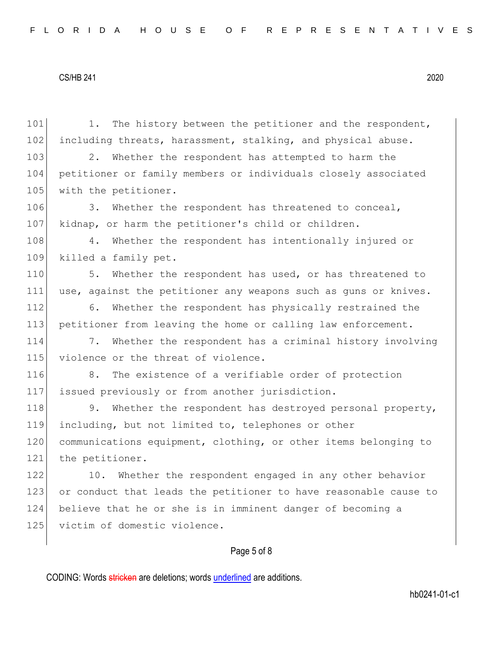101 1. The history between the petitioner and the respondent, 102 including threats, harassment, stalking, and physical abuse. 103 2. Whether the respondent has attempted to harm the 104 petitioner or family members or individuals closely associated 105 with the petitioner. 106 3. Whether the respondent has threatened to conceal, 107 kidnap, or harm the petitioner's child or children. 108 4. Whether the respondent has intentionally injured or 109 killed a family pet. 110 5. Whether the respondent has used, or has threatened to 111 use, against the petitioner any weapons such as guns or knives. 112 6. Whether the respondent has physically restrained the 113 petitioner from leaving the home or calling law enforcement. 114 7. Whether the respondent has a criminal history involving 115 violence or the threat of violence. 116 8. The existence of a verifiable order of protection 117 issued previously or from another jurisdiction. 118 9. Whether the respondent has destroyed personal property, 119 including, but not limited to, telephones or other 120 communications equipment, clothing, or other items belonging to 121 the petitioner. 122 10. Whether the respondent engaged in any other behavior 123 or conduct that leads the petitioner to have reasonable cause to 124 believe that he or she is in imminent danger of becoming a 125 victim of domestic violence.

# Page 5 of 8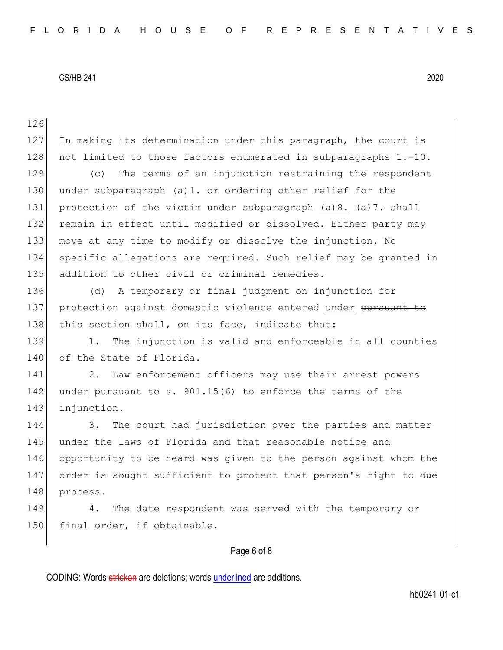126 127 In making its determination under this paragraph, the court is 128 not limited to those factors enumerated in subparagraphs 1.-10. 129 (c) The terms of an injunction restraining the respondent 130 under subparagraph (a)1. or ordering other relief for the 131 protection of the victim under subparagraph (a)8.  $\left\{\alpha\right\}$ . shall 132 remain in effect until modified or dissolved. Either party may 133 move at any time to modify or dissolve the injunction. No 134 specific allegations are required. Such relief may be granted in 135 addition to other civil or criminal remedies. 136 (d) A temporary or final judgment on injunction for 137 protection against domestic violence entered under pursuant to 138 this section shall, on its face, indicate that: 139 1. The injunction is valid and enforceable in all counties 140 of the State of Florida. 141 2. Law enforcement officers may use their arrest powers 142 under pursuant to s. 901.15(6) to enforce the terms of the 143 injunction. 144 3. The court had jurisdiction over the parties and matter 145 under the laws of Florida and that reasonable notice and 146 opportunity to be heard was given to the person against whom the 147 order is sought sufficient to protect that person's right to due 148 process. 149 4. The date respondent was served with the temporary or 150 final order, if obtainable.

# Page 6 of 8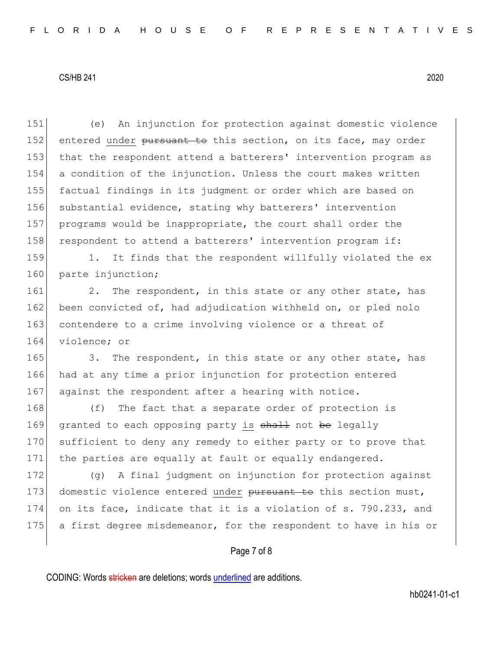| An injunction for protection against domestic violence<br>(e)    |
|------------------------------------------------------------------|
| entered under pursuant to this section, on its face, may order   |
| that the respondent attend a batterers' intervention program as  |
| a condition of the injunction. Unless the court makes written    |
| factual findings in its judgment or order which are based on     |
| substantial evidence, stating why batterers' intervention        |
| programs would be inappropriate, the court shall order the       |
| respondent to attend a batterers' intervention program if:       |
| It finds that the respondent willfully violated the ex<br>1.     |
| parte injunction;                                                |
| The respondent, in this state or any other state, has<br>2.      |
| been convicted of, had adjudication withheld on, or pled nolo    |
| contendere to a crime involving violence or a threat of          |
| violence; or                                                     |
| The respondent, in this state or any other state, has<br>3.      |
| had at any time a prior injunction for protection entered        |
| against the respondent after a hearing with notice.              |
| The fact that a separate order of protection is<br>(f)           |
| granted to each opposing party is shall not be legally           |
| sufficient to deny any remedy to either party or to prove that   |
| the parties are equally at fault or equally endangered.          |
| A final judgment on injunction for protection against<br>(q)     |
| domestic violence entered under pursuant to this section must,   |
| on its face, indicate that it is a violation of s. 790.233, and  |
| a first degree misdemeanor, for the respondent to have in his or |
|                                                                  |
|                                                                  |